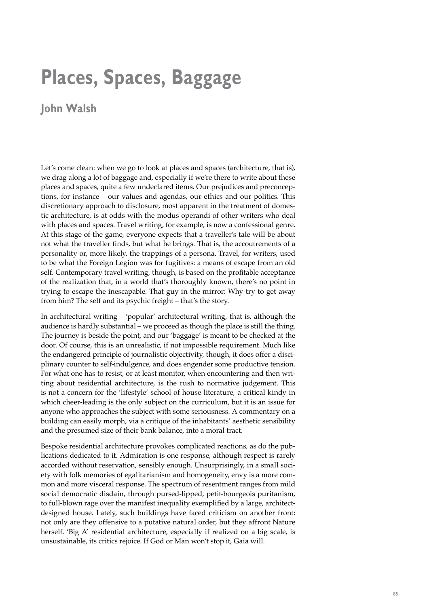## **Places, Spaces, Baggage**

## **John Walsh**

Let's come clean: when we go to look at places and spaces (architecture, that is), we drag along a lot of baggage and, especially if we're there to write about these places and spaces, quite a few undeclared items. Our prejudices and preconceptions, for instance – our values and agendas, our ethics and our politics. This discretionary approach to disclosure, most apparent in the treatment of domestic architecture, is at odds with the modus operandi of other writers who deal with places and spaces. Travel writing, for example, is now a confessional genre. At this stage of the game, everyone expects that a traveller's tale will be about not what the traveller finds, but what he brings. That is, the accoutrements of a personality or, more likely, the trappings of a persona. Travel, for writers, used to be what the Foreign Legion was for fugitives: a means of escape from an old self. Contemporary travel writing, though, is based on the profitable acceptance of the realization that, in a world that's thoroughly known, there's no point in trying to escape the inescapable. That guy in the mirror: Why try to get away from him? The self and its psychic freight – that's the story.

In architectural writing – 'popular' architectural writing, that is, although the audience is hardly substantial – we proceed as though the place is still the thing. The journey is beside the point, and our 'baggage' is meant to be checked at the door. Of course, this is an unrealistic, if not impossible requirement. Much like the endangered principle of journalistic objectivity, though, it does offer a disciplinary counter to self-indulgence, and does engender some productive tension. For what one has to resist, or at least monitor, when encountering and then writing about residential architecture, is the rush to normative judgement. This is not a concern for the 'lifestyle' school of house literature, a critical kindy in which cheer-leading is the only subject on the curriculum, but it is an issue for anyone who approaches the subject with some seriousness. A commentary on a building can easily morph, via a critique of the inhabitants' aesthetic sensibility and the presumed size of their bank balance, into a moral tract.

Bespoke residential architecture provokes complicated reactions, as do the publications dedicated to it. Admiration is one response, although respect is rarely accorded without reservation, sensibly enough. Unsurprisingly, in a small society with folk memories of egalitarianism and homogeneity, envy is a more common and more visceral response. The spectrum of resentment ranges from mild social democratic disdain, through pursed-lipped, petit-bourgeois puritanism, to full-blown rage over the manifest inequality exemplified by a large, architectdesigned house. Lately, such buildings have faced criticism on another front: not only are they offensive to a putative natural order, but they affront Nature herself. 'Big A' residential architecture, especially if realized on a big scale, is unsustainable, its critics rejoice. If God or Man won't stop it, Gaia will.